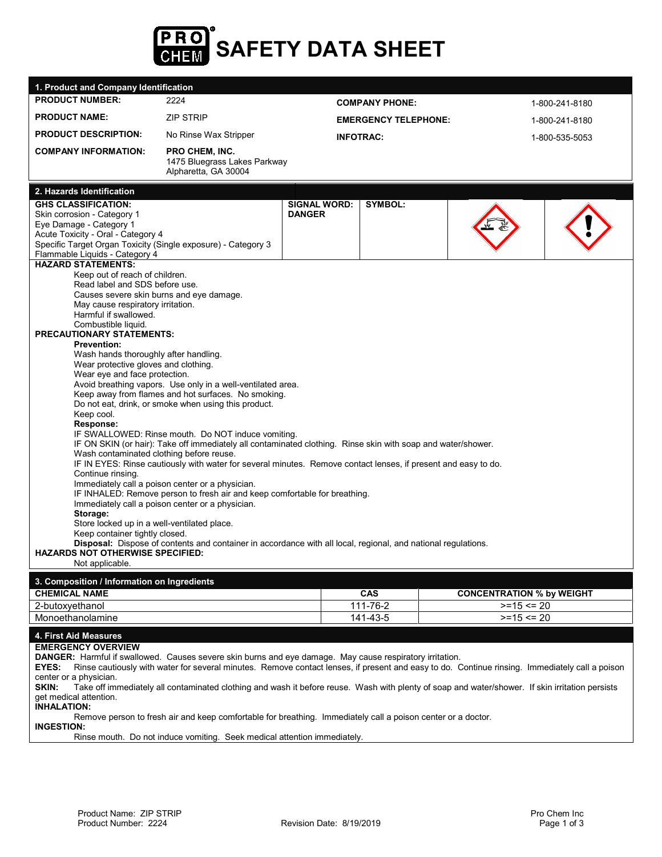

| 1. Product and Company Identification                                                                                                                                                                                                                                                                                                                                                                                                                                                                                                                                                                                                                                                                                                   |                                                                                                                                                                                                                                                                                                                                                                                                                                                                                                                                                                                                      |                                      |                             |                                                   |                |  |  |
|-----------------------------------------------------------------------------------------------------------------------------------------------------------------------------------------------------------------------------------------------------------------------------------------------------------------------------------------------------------------------------------------------------------------------------------------------------------------------------------------------------------------------------------------------------------------------------------------------------------------------------------------------------------------------------------------------------------------------------------------|------------------------------------------------------------------------------------------------------------------------------------------------------------------------------------------------------------------------------------------------------------------------------------------------------------------------------------------------------------------------------------------------------------------------------------------------------------------------------------------------------------------------------------------------------------------------------------------------------|--------------------------------------|-----------------------------|---------------------------------------------------|----------------|--|--|
| <b>PRODUCT NUMBER:</b>                                                                                                                                                                                                                                                                                                                                                                                                                                                                                                                                                                                                                                                                                                                  | 2224                                                                                                                                                                                                                                                                                                                                                                                                                                                                                                                                                                                                 | <b>COMPANY PHONE:</b>                |                             |                                                   | 1-800-241-8180 |  |  |
| <b>PRODUCT NAME:</b>                                                                                                                                                                                                                                                                                                                                                                                                                                                                                                                                                                                                                                                                                                                    | <b>ZIP STRIP</b>                                                                                                                                                                                                                                                                                                                                                                                                                                                                                                                                                                                     |                                      | <b>EMERGENCY TELEPHONE:</b> |                                                   | 1-800-241-8180 |  |  |
| <b>PRODUCT DESCRIPTION:</b>                                                                                                                                                                                                                                                                                                                                                                                                                                                                                                                                                                                                                                                                                                             | No Rinse Wax Stripper                                                                                                                                                                                                                                                                                                                                                                                                                                                                                                                                                                                |                                      | <b>INFOTRAC:</b>            |                                                   | 1-800-535-5053 |  |  |
| <b>COMPANY INFORMATION:</b>                                                                                                                                                                                                                                                                                                                                                                                                                                                                                                                                                                                                                                                                                                             | <b>PRO CHEM. INC.</b><br>1475 Bluegrass Lakes Parkway<br>Alpharetta, GA 30004                                                                                                                                                                                                                                                                                                                                                                                                                                                                                                                        |                                      |                             |                                                   |                |  |  |
| 2. Hazards Identification                                                                                                                                                                                                                                                                                                                                                                                                                                                                                                                                                                                                                                                                                                               |                                                                                                                                                                                                                                                                                                                                                                                                                                                                                                                                                                                                      |                                      |                             |                                                   |                |  |  |
| <b>GHS CLASSIFICATION:</b><br>Skin corrosion - Category 1<br>Eye Damage - Category 1<br>Acute Toxicity - Oral - Category 4<br>Specific Target Organ Toxicity (Single exposure) - Category 3<br>Flammable Liquids - Category 4<br><b>HAZARD STATEMENTS:</b><br>Keep out of reach of children.<br>Read label and SDS before use.<br>Causes severe skin burns and eye damage.<br>May cause respiratory irritation.<br>Harmful if swallowed.<br>Combustible liquid.<br><b>PRECAUTIONARY STATEMENTS:</b><br><b>Prevention:</b><br>Wash hands thoroughly after handling.<br>Wear protective gloves and clothing.<br>Wear eye and face protection.<br>Keep cool.<br>Response:<br>Wash contaminated clothing before reuse.<br>Continue rinsing. | Avoid breathing vapors. Use only in a well-ventilated area.<br>Keep away from flames and hot surfaces. No smoking.<br>Do not eat, drink, or smoke when using this product.<br>IF SWALLOWED: Rinse mouth. Do NOT induce vomiting.<br>IF ON SKIN (or hair): Take off immediately all contaminated clothing. Rinse skin with soap and water/shower.<br>IF IN EYES: Rinse cautiously with water for several minutes. Remove contact lenses, if present and easy to do.<br>Immediately call a poison center or a physician.<br>IF INHALED: Remove person to fresh air and keep comfortable for breathing. | <b>SIGNAL WORD:</b><br><b>DANGER</b> | <b>SYMBOL:</b>              |                                                   |                |  |  |
| Immediately call a poison center or a physician.<br>Storage:                                                                                                                                                                                                                                                                                                                                                                                                                                                                                                                                                                                                                                                                            |                                                                                                                                                                                                                                                                                                                                                                                                                                                                                                                                                                                                      |                                      |                             |                                                   |                |  |  |
| Store locked up in a well-ventilated place.<br>Keep container tightly closed.                                                                                                                                                                                                                                                                                                                                                                                                                                                                                                                                                                                                                                                           |                                                                                                                                                                                                                                                                                                                                                                                                                                                                                                                                                                                                      |                                      |                             |                                                   |                |  |  |
| <b>HAZARDS NOT OTHERWISE SPECIFIED:</b>                                                                                                                                                                                                                                                                                                                                                                                                                                                                                                                                                                                                                                                                                                 | Disposal: Dispose of contents and container in accordance with all local, regional, and national regulations.                                                                                                                                                                                                                                                                                                                                                                                                                                                                                        |                                      |                             |                                                   |                |  |  |
| Not applicable.                                                                                                                                                                                                                                                                                                                                                                                                                                                                                                                                                                                                                                                                                                                         |                                                                                                                                                                                                                                                                                                                                                                                                                                                                                                                                                                                                      |                                      |                             |                                                   |                |  |  |
| 3. Composition / Information on Ingredients                                                                                                                                                                                                                                                                                                                                                                                                                                                                                                                                                                                                                                                                                             |                                                                                                                                                                                                                                                                                                                                                                                                                                                                                                                                                                                                      |                                      |                             |                                                   |                |  |  |
| <b>CHEMICAL NAME</b><br>2-butoxyethanol                                                                                                                                                                                                                                                                                                                                                                                                                                                                                                                                                                                                                                                                                                 |                                                                                                                                                                                                                                                                                                                                                                                                                                                                                                                                                                                                      |                                      | <b>CAS</b><br>111-76-2      | <b>CONCENTRATION % by WEIGHT</b><br>$>=15 \le 20$ |                |  |  |
| Monoethanolamine                                                                                                                                                                                                                                                                                                                                                                                                                                                                                                                                                                                                                                                                                                                        |                                                                                                                                                                                                                                                                                                                                                                                                                                                                                                                                                                                                      |                                      | 141-43-5                    | $>=15 == 20$                                      |                |  |  |
| 4. First Aid Measures                                                                                                                                                                                                                                                                                                                                                                                                                                                                                                                                                                                                                                                                                                                   |                                                                                                                                                                                                                                                                                                                                                                                                                                                                                                                                                                                                      |                                      |                             |                                                   |                |  |  |
| <b>EMERGENCY OVERVIEW</b><br><b>DANGER:</b> Harmful if swallowed. Causes severe skin burns and eye damage. May cause respiratory irritation.<br>EYES:<br>center or a physician.                                                                                                                                                                                                                                                                                                                                                                                                                                                                                                                                                         | Rinse cautiously with water for several minutes. Remove contact lenses, if present and easy to do. Continue rinsing. Immediately call a poison                                                                                                                                                                                                                                                                                                                                                                                                                                                       |                                      |                             |                                                   |                |  |  |

**SKIN:** Take off immediately all contaminated clothing and wash it before reuse. Wash with plenty of soap and water/shower. If skin irritation persists get medical attention.

**INHALATION:**

Remove person to fresh air and keep comfortable for breathing. Immediately call a poison center or a doctor.

**INGESTION:**

Rinse mouth. Do not induce vomiting. Seek medical attention immediately.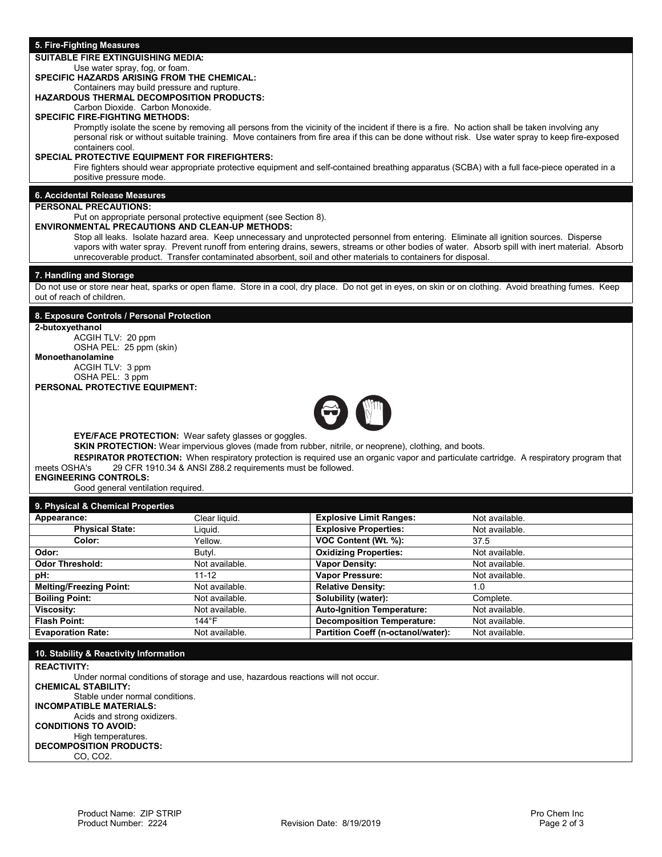### **5. Fire-Fighting Measures**

## **SUITABLE FIRE EXTINGUISHING MEDIA:**

#### Use water spray, fog, or foam.

# **SPECIFIC HAZARDS ARISING FROM THE CHEMICAL:**

#### Containers may build pressure and rupture. **HAZARDOUS THERMAL DECOMPOSITION PRODUCTS:**

Carbon Dioxide. Carbon Monoxide.

# **SPECIFIC FIRE-FIGHTING METHODS:**

Promptly isolate the scene by removing all persons from the vicinity of the incident if there is a fire. No action shall be taken involving any personal risk or without suitable training. Move containers from fire area if this can be done without risk. Use water spray to keep fire-exposed containers cool.

#### **SPECIAL PROTECTIVE EQUIPMENT FOR FIREFIGHTERS:**

Fire fighters should wear appropriate protective equipment and self-contained breathing apparatus (SCBA) with a full face-piece operated in a positive pressure mode.

## **6. Accidental Release Measures**

#### **PERSONAL PRECAUTIONS:**

#### Put on appropriate personal protective equipment (see Section 8).

## **ENVIRONMENTAL PRECAUTIONS AND CLEAN-UP METHODS:**

Stop all leaks. Isolate hazard area. Keep unnecessary and unprotected personnel from entering. Eliminate all ignition sources. Disperse vapors with water spray. Prevent runoff from entering drains, sewers, streams or other bodies of water. Absorb spill with inert material. Absorb unrecoverable product. Transfer contaminated absorbent, soil and other materials to containers for disposal.

#### **7. Handling and Storage**

Do not use or store near heat, sparks or open flame. Store in a cool, dry place. Do not get in eyes, on skin or on clothing. Avoid breathing fumes. Keep out of reach of children.

## **8. Exposure Controls / Personal Protection**

**2-butoxyethanol**

ACGIH TLV: 20 ppm OSHA PEL: 25 ppm (skin) **Monoethanolamine** ACGIH TLV: 3 ppm OSHA PEL: 3 ppm

**PERSONAL PROTECTIVE EQUIPMENT:**



**EYE/FACE PROTECTION:** Wear safety glasses or goggles.

**SKIN PROTECTION:** Wear impervious gloves (made from rubber, nitrile, or neoprene), clothing, and boots.

**RESPIRATOR PROTECTION:** When respiratory protection is required use an organic vapor and particulate cartridge. A respiratory program that meets OSHA's 29 CFR 1910.34 & ANSI Z88.2 requirements must be followed.

## **ENGINEERING CONTROLS:**

Good general ventilation required.

#### **9. Physical & Chemical Properties**

| Appearance:                    | Clear liquid.  | <b>Explosive Limit Ranges:</b><br>Not available. |                |
|--------------------------------|----------------|--------------------------------------------------|----------------|
| <b>Physical State:</b>         | Liguid.        | <b>Explosive Properties:</b>                     | Not available. |
| Color:                         | Yellow.        | VOC Content (Wt. %):                             | 37.5           |
| Odor:                          | Butyl.         | <b>Oxidizing Properties:</b>                     | Not available. |
| <b>Odor Threshold:</b>         | Not available. | <b>Vapor Density:</b>                            | Not available. |
| pH:                            | 11-12          | <b>Vapor Pressure:</b>                           | Not available. |
| <b>Melting/Freezing Point:</b> | Not available. | <b>Relative Density:</b>                         | 1.0            |
| <b>Boiling Point:</b>          | Not available. | Solubility (water):                              | Complete.      |
| <b>Viscosity:</b>              | Not available. | <b>Auto-Ignition Temperature:</b>                | Not available. |
| <b>Flash Point:</b>            | 144°F          | <b>Decomposition Temperature:</b>                | Not available. |
| <b>Evaporation Rate:</b>       | Not available. | <b>Partition Coeff (n-octanol/water):</b>        | Not available. |

**10. Stability & Reactivity Information REACTIVITY:** Under normal conditions of storage and use, hazardous reactions will not occur. **CHEMICAL STABILITY:**  Stable under normal conditions. **INCOMPATIBLE MATERIALS:** Acids and strong oxidizers. **CONDITIONS TO AVOID:**  High temperatures. **DECOMPOSITION PRODUCTS:** CO, CO2.